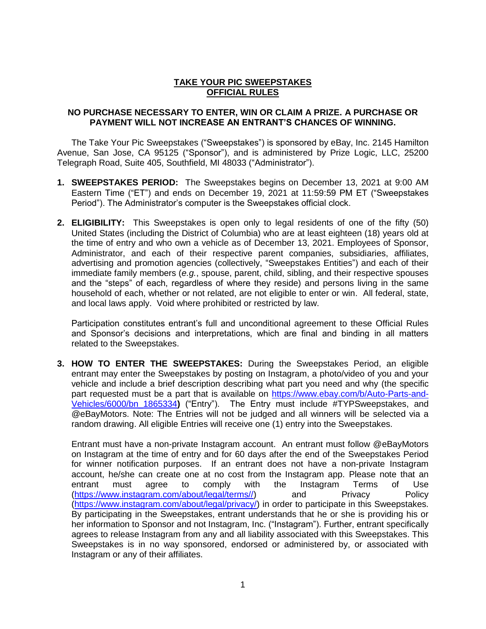## **TAKE YOUR PIC SWEEPSTAKES OFFICIAL RULES**

## **NO PURCHASE NECESSARY TO ENTER, WIN OR CLAIM A PRIZE. A PURCHASE OR PAYMENT WILL NOT INCREASE AN ENTRANT'S CHANCES OF WINNING.**

The Take Your Pic Sweepstakes ("Sweepstakes") is sponsored by eBay, Inc. 2145 Hamilton Avenue, San Jose, CA 95125 ("Sponsor"), and is administered by Prize Logic, LLC, 25200 Telegraph Road, Suite 405, Southfield, MI 48033 ("Administrator").

- **1. SWEEPSTAKES PERIOD:** The Sweepstakes begins on December 13, 2021 at 9:00 AM Eastern Time ("ET") and ends on December 19, 2021 at 11:59:59 PM ET ("Sweepstakes Period"). The Administrator's computer is the Sweepstakes official clock.
- **2. ELIGIBILITY:** This Sweepstakes is open only to legal residents of one of the fifty (50) United States (including the District of Columbia) who are at least eighteen (18) years old at the time of entry and who own a vehicle as of December 13, 2021. Employees of Sponsor, Administrator, and each of their respective parent companies, subsidiaries, affiliates, advertising and promotion agencies (collectively, "Sweepstakes Entities") and each of their immediate family members (*e.g.*, spouse, parent, child, sibling, and their respective spouses and the "steps" of each, regardless of where they reside) and persons living in the same household of each, whether or not related, are not eligible to enter or win. All federal, state, and local laws apply. Void where prohibited or restricted by law.

Participation constitutes entrant's full and unconditional agreement to these Official Rules and Sponsor's decisions and interpretations, which are final and binding in all matters related to the Sweepstakes.

**3. HOW TO ENTER THE SWEEPSTAKES:** During the Sweepstakes Period, an eligible entrant may enter the Sweepstakes by posting on Instagram, a photo/video of you and your vehicle and include a brief description describing what part you need and why (the specific part requested must be a part that is available on [https://www.ebay.com/b/Auto-Parts-and-](https://www.ebay.com/b/Auto-Parts-and-Vehicles/6000/bn_1865334)[Vehicles/6000/bn\\_1865334](https://www.ebay.com/b/Auto-Parts-and-Vehicles/6000/bn_1865334)**)** ("Entry"). The Entry must include #TYPSweepstakes, and @eBayMotors. Note: The Entries will not be judged and all winners will be selected via a random drawing. All eligible Entries will receive one (1) entry into the Sweepstakes.

Entrant must have a non-private Instagram account. An entrant must follow @eBayMotors on Instagram at the time of entry and for 60 days after the end of the Sweepstakes Period for winner notification purposes. If an entrant does not have a non-private Instagram account, he/she can create one at no cost from the Instagram app. Please note that an entrant must agree to comply with the Instagram Terms of Use [\(https://www.instagram.com/about/legal/terms//\)](https://www.instagram.com/about/legal/terms/) and Privacy Policy [\(https://www.instagram.com/about/legal/privacy/\)](https://www.instagram.com/about/legal/privacy/) in order to participate in this Sweepstakes. By participating in the Sweepstakes, entrant understands that he or she is providing his or her information to Sponsor and not Instagram, Inc. ("Instagram"). Further, entrant specifically agrees to release Instagram from any and all liability associated with this Sweepstakes. This Sweepstakes is in no way sponsored, endorsed or administered by, or associated with Instagram or any of their affiliates.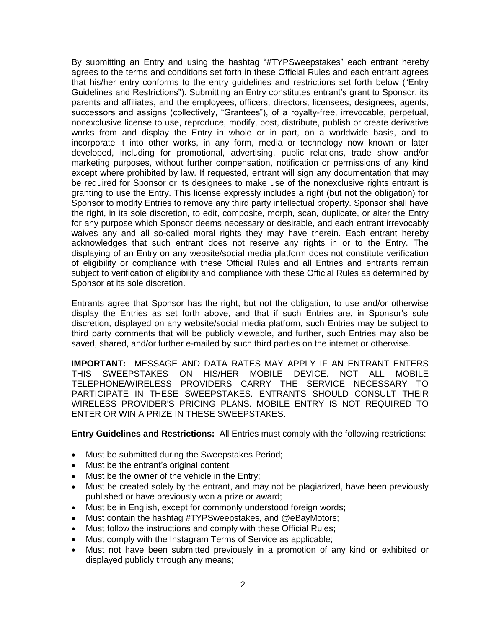By submitting an Entry and using the hashtag "#TYPSweepstakes" each entrant hereby agrees to the terms and conditions set forth in these Official Rules and each entrant agrees that his/her entry conforms to the entry guidelines and restrictions set forth below ("Entry Guidelines and Restrictions"). Submitting an Entry constitutes entrant's grant to Sponsor, its parents and affiliates, and the employees, officers, directors, licensees, designees, agents, successors and assigns (collectively, "Grantees"), of a royalty-free, irrevocable, perpetual, nonexclusive license to use, reproduce, modify, post, distribute, publish or create derivative works from and display the Entry in whole or in part, on a worldwide basis, and to incorporate it into other works, in any form, media or technology now known or later developed, including for promotional, advertising, public relations, trade show and/or marketing purposes, without further compensation, notification or permissions of any kind except where prohibited by law. If requested, entrant will sign any documentation that may be required for Sponsor or its designees to make use of the nonexclusive rights entrant is granting to use the Entry. This license expressly includes a right (but not the obligation) for Sponsor to modify Entries to remove any third party intellectual property. Sponsor shall have the right, in its sole discretion, to edit, composite, morph, scan, duplicate, or alter the Entry for any purpose which Sponsor deems necessary or desirable, and each entrant irrevocably waives any and all so-called moral rights they may have therein. Each entrant hereby acknowledges that such entrant does not reserve any rights in or to the Entry. The displaying of an Entry on any website/social media platform does not constitute verification of eligibility or compliance with these Official Rules and all Entries and entrants remain subject to verification of eligibility and compliance with these Official Rules as determined by Sponsor at its sole discretion.

Entrants agree that Sponsor has the right, but not the obligation, to use and/or otherwise display the Entries as set forth above, and that if such Entries are, in Sponsor's sole discretion, displayed on any website/social media platform, such Entries may be subject to third party comments that will be publicly viewable, and further, such Entries may also be saved, shared, and/or further e-mailed by such third parties on the internet or otherwise.

**IMPORTANT:** MESSAGE AND DATA RATES MAY APPLY IF AN ENTRANT ENTERS THIS SWEEPSTAKES ON HIS/HER MOBILE DEVICE. NOT ALL MOBILE TELEPHONE/WIRELESS PROVIDERS CARRY THE SERVICE NECESSARY TO PARTICIPATE IN THESE SWEEPSTAKES. ENTRANTS SHOULD CONSULT THEIR WIRELESS PROVIDER'S PRICING PLANS. MOBILE ENTRY IS NOT REQUIRED TO ENTER OR WIN A PRIZE IN THESE SWEEPSTAKES.

**Entry Guidelines and Restrictions:** All Entries must comply with the following restrictions:

- Must be submitted during the Sweepstakes Period;
- Must be the entrant's original content;
- Must be the owner of the vehicle in the Entry;
- Must be created solely by the entrant, and may not be plagiarized, have been previously published or have previously won a prize or award;
- Must be in English, except for commonly understood foreign words;
- Must contain the hashtag #TYPSweepstakes, and @eBayMotors;
- Must follow the instructions and comply with these Official Rules;
- Must comply with the Instagram Terms of Service as applicable;
- Must not have been submitted previously in a promotion of any kind or exhibited or displayed publicly through any means;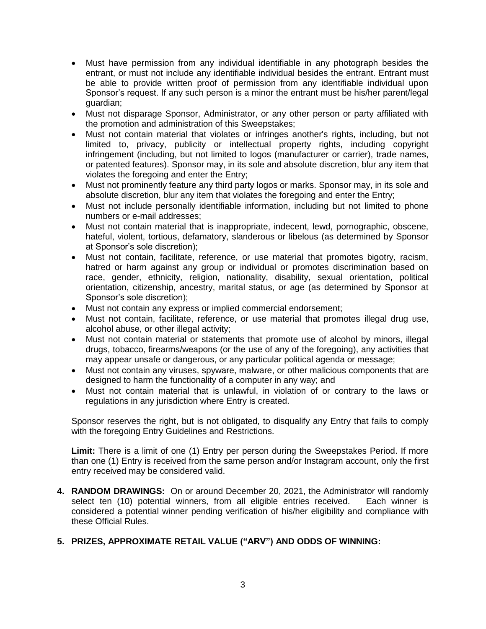- Must have permission from any individual identifiable in any photograph besides the entrant, or must not include any identifiable individual besides the entrant. Entrant must be able to provide written proof of permission from any identifiable individual upon Sponsor's request. If any such person is a minor the entrant must be his/her parent/legal guardian;
- Must not disparage Sponsor, Administrator, or any other person or party affiliated with the promotion and administration of this Sweepstakes;
- Must not contain material that violates or infringes another's rights, including, but not limited to, privacy, publicity or intellectual property rights, including copyright infringement (including, but not limited to logos (manufacturer or carrier), trade names, or patented features). Sponsor may, in its sole and absolute discretion, blur any item that violates the foregoing and enter the Entry;
- Must not prominently feature any third party logos or marks. Sponsor may, in its sole and absolute discretion, blur any item that violates the foregoing and enter the Entry;
- Must not include personally identifiable information, including but not limited to phone numbers or e-mail addresses;
- Must not contain material that is inappropriate, indecent, lewd, pornographic, obscene, hateful, violent, tortious, defamatory, slanderous or libelous (as determined by Sponsor at Sponsor's sole discretion);
- Must not contain, facilitate, reference, or use material that promotes bigotry, racism, hatred or harm against any group or individual or promotes discrimination based on race, gender, ethnicity, religion, nationality, disability, sexual orientation, political orientation, citizenship, ancestry, marital status, or age (as determined by Sponsor at Sponsor's sole discretion);
- Must not contain any express or implied commercial endorsement;
- Must not contain, facilitate, reference, or use material that promotes illegal drug use, alcohol abuse, or other illegal activity;
- Must not contain material or statements that promote use of alcohol by minors, illegal drugs, tobacco, firearms/weapons (or the use of any of the foregoing), any activities that may appear unsafe or dangerous, or any particular political agenda or message;
- Must not contain any viruses, spyware, malware, or other malicious components that are designed to harm the functionality of a computer in any way; and
- Must not contain material that is unlawful, in violation of or contrary to the laws or regulations in any jurisdiction where Entry is created.

Sponsor reserves the right, but is not obligated, to disqualify any Entry that fails to comply with the foregoing Entry Guidelines and Restrictions.

**Limit:** There is a limit of one (1) Entry per person during the Sweepstakes Period. If more than one (1) Entry is received from the same person and/or Instagram account, only the first entry received may be considered valid.

**4. RANDOM DRAWINGS:** On or around December 20, 2021, the Administrator will randomly select ten (10) potential winners, from all eligible entries received. Each winner is considered a potential winner pending verification of his/her eligibility and compliance with these Official Rules.

## **5. PRIZES, APPROXIMATE RETAIL VALUE ("ARV") AND ODDS OF WINNING:**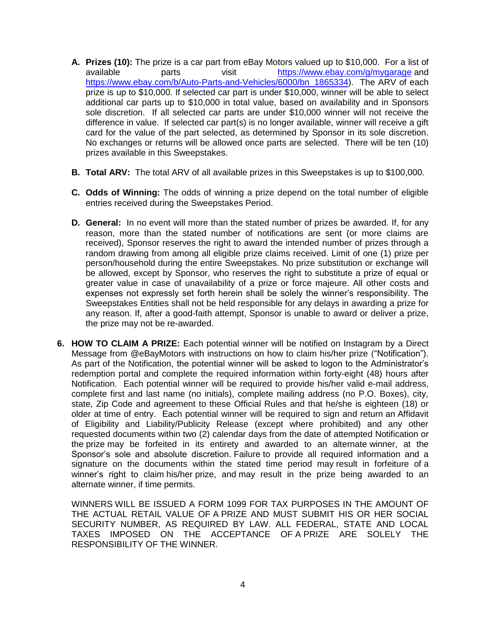- **A. Prizes (10):** The prize is a car part from eBay Motors valued up to \$10,000. For a list of available parts visit <https://www.ebay.com/g/mygarage> and [https://www.ebay.com/b/Auto-Parts-and-Vehicles/6000/bn\\_1865334\)](https://www.ebay.com/b/Auto-Parts-and-Vehicles/6000/bn_1865334). The ARV of each prize is up to \$10,000. If selected car part is under \$10,000, winner will be able to select additional car parts up to \$10,000 in total value, based on availability and in Sponsors sole discretion. If all selected car parts are under \$10,000 winner will not receive the difference in value. If selected car part(s) is no longer available, winner will receive a gift card for the value of the part selected, as determined by Sponsor in its sole discretion. No exchanges or returns will be allowed once parts are selected. There will be ten (10) prizes available in this Sweepstakes.
- **B. Total ARV:** The total ARV of all available prizes in this Sweepstakes is up to \$100,000.
- **C. Odds of Winning:** The odds of winning a prize depend on the total number of eligible entries received during the Sweepstakes Period.
- **D. General:** In no event will more than the stated number of prizes be awarded. If, for any reason, more than the stated number of notifications are sent (or more claims are received), Sponsor reserves the right to award the intended number of prizes through a random drawing from among all eligible prize claims received. Limit of one (1) prize per person/household during the entire Sweepstakes. No prize substitution or exchange will be allowed, except by Sponsor, who reserves the right to substitute a prize of equal or greater value in case of unavailability of a prize or force majeure. All other costs and expenses not expressly set forth herein shall be solely the winner's responsibility. The Sweepstakes Entities shall not be held responsible for any delays in awarding a prize for any reason. If, after a good-faith attempt, Sponsor is unable to award or deliver a prize, the prize may not be re-awarded.
- **6. HOW TO CLAIM A PRIZE:** Each potential winner will be notified on Instagram by a Direct Message from @eBayMotors with instructions on how to claim his/her prize ("Notification"). As part of the Notification, the potential winner will be asked to logon to the Administrator's redemption portal and complete the required information within forty-eight (48) hours after Notification. Each potential winner will be required to provide his/her valid e-mail address, complete first and last name (no initials), complete mailing address (no P.O. Boxes), city, state, Zip Code and agreement to these Official Rules and that he/she is eighteen (18) or older at time of entry. Each potential winner will be required to sign and return an Affidavit of Eligibility and Liability/Publicity Release (except where prohibited) and any other requested documents within two (2) calendar days from the date of attempted Notification or the prize may be forfeited in its entirety and awarded to an alternate winner, at the Sponsor's sole and absolute discretion. Failure to provide all required information and a signature on the documents within the stated time period may result in forfeiture of a winner's right to claim his/her prize, and may result in the prize being awarded to an alternate winner, if time permits.

WINNERS WILL BE ISSUED A FORM 1099 FOR TAX PURPOSES IN THE AMOUNT OF THE ACTUAL RETAIL VALUE OF A PRIZE AND MUST SUBMIT HIS OR HER SOCIAL SECURITY NUMBER, AS REQUIRED BY LAW. ALL FEDERAL, STATE AND LOCAL TAXES IMPOSED ON THE ACCEPTANCE OF A PRIZE ARE SOLELY THE RESPONSIBILITY OF THE WINNER.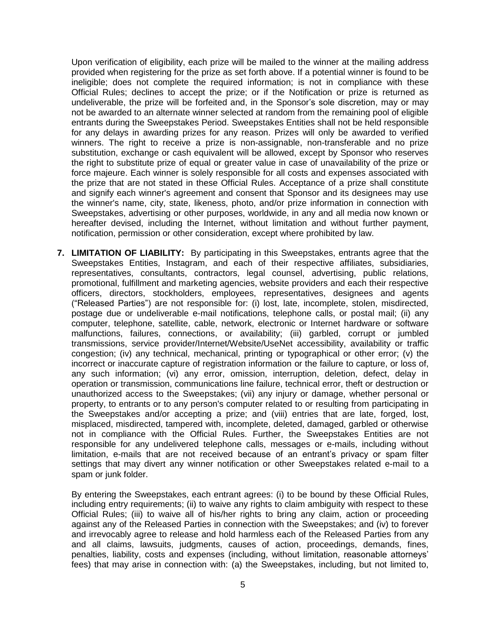Upon verification of eligibility, each prize will be mailed to the winner at the mailing address provided when registering for the prize as set forth above. If a potential winner is found to be ineligible; does not complete the required information; is not in compliance with these Official Rules; declines to accept the prize; or if the Notification or prize is returned as undeliverable, the prize will be forfeited and, in the Sponsor's sole discretion, may or may not be awarded to an alternate winner selected at random from the remaining pool of eligible entrants during the Sweepstakes Period. Sweepstakes Entities shall not be held responsible for any delays in awarding prizes for any reason. Prizes will only be awarded to verified winners. The right to receive a prize is non-assignable, non-transferable and no prize substitution, exchange or cash equivalent will be allowed, except by Sponsor who reserves the right to substitute prize of equal or greater value in case of unavailability of the prize or force majeure. Each winner is solely responsible for all costs and expenses associated with the prize that are not stated in these Official Rules. Acceptance of a prize shall constitute and signify each winner's agreement and consent that Sponsor and its designees may use the winner's name, city, state, likeness, photo, and/or prize information in connection with Sweepstakes, advertising or other purposes, worldwide, in any and all media now known or hereafter devised, including the Internet, without limitation and without further payment, notification, permission or other consideration, except where prohibited by law.

**7. LIMITATION OF LIABILITY:** By participating in this Sweepstakes, entrants agree that the Sweepstakes Entities, Instagram, and each of their respective affiliates, subsidiaries, representatives, consultants, contractors, legal counsel, advertising, public relations, promotional, fulfillment and marketing agencies, website providers and each their respective officers, directors, stockholders, employees, representatives, designees and agents ("Released Parties") are not responsible for: (i) lost, late, incomplete, stolen, misdirected, postage due or undeliverable e-mail notifications, telephone calls, or postal mail; (ii) any computer, telephone, satellite, cable, network, electronic or Internet hardware or software malfunctions, failures, connections, or availability; (iii) garbled, corrupt or jumbled transmissions, service provider/Internet/Website/UseNet accessibility, availability or traffic congestion; (iv) any technical, mechanical, printing or typographical or other error; (v) the incorrect or inaccurate capture of registration information or the failure to capture, or loss of, any such information; (vi) any error, omission, interruption, deletion, defect, delay in operation or transmission, communications line failure, technical error, theft or destruction or unauthorized access to the Sweepstakes; (vii) any injury or damage, whether personal or property, to entrants or to any person's computer related to or resulting from participating in the Sweepstakes and/or accepting a prize; and (viii) entries that are late, forged, lost, misplaced, misdirected, tampered with, incomplete, deleted, damaged, garbled or otherwise not in compliance with the Official Rules. Further, the Sweepstakes Entities are not responsible for any undelivered telephone calls, messages or e-mails, including without limitation, e-mails that are not received because of an entrant's privacy or spam filter settings that may divert any winner notification or other Sweepstakes related e-mail to a spam or junk folder.

By entering the Sweepstakes, each entrant agrees: (i) to be bound by these Official Rules, including entry requirements; (ii) to waive any rights to claim ambiguity with respect to these Official Rules; (iii) to waive all of his/her rights to bring any claim, action or proceeding against any of the Released Parties in connection with the Sweepstakes; and (iv) to forever and irrevocably agree to release and hold harmless each of the Released Parties from any and all claims, lawsuits, judgments, causes of action, proceedings, demands, fines, penalties, liability, costs and expenses (including, without limitation, reasonable attorneys' fees) that may arise in connection with: (a) the Sweepstakes, including, but not limited to,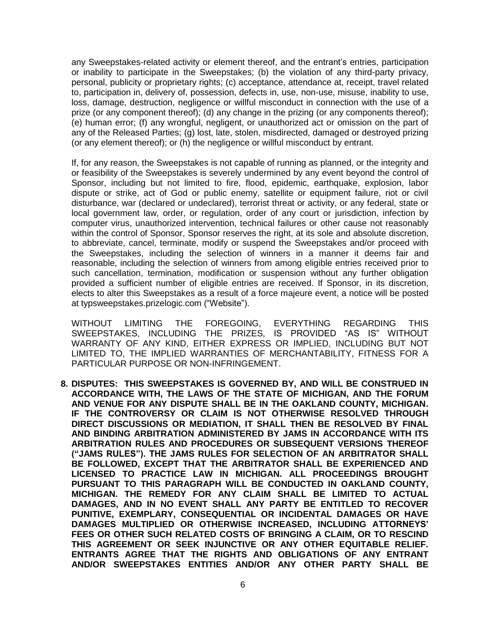any Sweepstakes-related activity or element thereof, and the entrant's entries, participation or inability to participate in the Sweepstakes; (b) the violation of any third-party privacy, personal, publicity or proprietary rights; (c) acceptance, attendance at, receipt, travel related to, participation in, delivery of, possession, defects in, use, non-use, misuse, inability to use, loss, damage, destruction, negligence or willful misconduct in connection with the use of a prize (or any component thereof); (d) any change in the prizing (or any components thereof); (e) human error; (f) any wrongful, negligent, or unauthorized act or omission on the part of any of the Released Parties; (g) lost, late, stolen, misdirected, damaged or destroyed prizing (or any element thereof); or (h) the negligence or willful misconduct by entrant.

If, for any reason, the Sweepstakes is not capable of running as planned, or the integrity and or feasibility of the Sweepstakes is severely undermined by any event beyond the control of Sponsor, including but not limited to fire, flood, epidemic, earthquake, explosion, labor dispute or strike, act of God or public enemy, satellite or equipment failure, riot or civil disturbance, war (declared or undeclared), terrorist threat or activity, or any federal, state or local government law, order, or regulation, order of any court or jurisdiction, infection by computer virus, unauthorized intervention, technical failures or other cause not reasonably within the control of Sponsor, Sponsor reserves the right, at its sole and absolute discretion, to abbreviate, cancel, terminate, modify or suspend the Sweepstakes and/or proceed with the Sweepstakes, including the selection of winners in a manner it deems fair and reasonable, including the selection of winners from among eligible entries received prior to such cancellation, termination, modification or suspension without any further obligation provided a sufficient number of eligible entries are received. If Sponsor, in its discretion, elects to alter this Sweepstakes as a result of a force majeure event, a notice will be posted at typsweepstakes.prizelogic.com ("Website").

WITHOUT LIMITING THE FOREGOING, EVERYTHING REGARDING THIS SWEEPSTAKES, INCLUDING THE PRIZES, IS PROVIDED "AS IS" WITHOUT WARRANTY OF ANY KIND, EITHER EXPRESS OR IMPLIED, INCLUDING BUT NOT LIMITED TO, THE IMPLIED WARRANTIES OF MERCHANTABILITY, FITNESS FOR A PARTICULAR PURPOSE OR NON-INFRINGEMENT.

**8. DISPUTES: THIS SWEEPSTAKES IS GOVERNED BY, AND WILL BE CONSTRUED IN ACCORDANCE WITH, THE LAWS OF THE STATE OF MICHIGAN, AND THE FORUM AND VENUE FOR ANY DISPUTE SHALL BE IN THE OAKLAND COUNTY, MICHIGAN. IF THE CONTROVERSY OR CLAIM IS NOT OTHERWISE RESOLVED THROUGH DIRECT DISCUSSIONS OR MEDIATION, IT SHALL THEN BE RESOLVED BY FINAL AND BINDING ARBITRATION ADMINISTERED BY JAMS IN ACCORDANCE WITH ITS ARBITRATION RULES AND PROCEDURES OR SUBSEQUENT VERSIONS THEREOF ("JAMS RULES"). THE JAMS RULES FOR SELECTION OF AN ARBITRATOR SHALL BE FOLLOWED, EXCEPT THAT THE ARBITRATOR SHALL BE EXPERIENCED AND LICENSED TO PRACTICE LAW IN MICHIGAN. ALL PROCEEDINGS BROUGHT PURSUANT TO THIS PARAGRAPH WILL BE CONDUCTED IN OAKLAND COUNTY, MICHIGAN. THE REMEDY FOR ANY CLAIM SHALL BE LIMITED TO ACTUAL DAMAGES, AND IN NO EVENT SHALL ANY PARTY BE ENTITLED TO RECOVER PUNITIVE, EXEMPLARY, CONSEQUENTIAL OR INCIDENTAL DAMAGES OR HAVE DAMAGES MULTIPLIED OR OTHERWISE INCREASED, INCLUDING ATTORNEYS' FEES OR OTHER SUCH RELATED COSTS OF BRINGING A CLAIM, OR TO RESCIND THIS AGREEMENT OR SEEK INJUNCTIVE OR ANY OTHER EQUITABLE RELIEF. ENTRANTS AGREE THAT THE RIGHTS AND OBLIGATIONS OF ANY ENTRANT AND/OR SWEEPSTAKES ENTITIES AND/OR ANY OTHER PARTY SHALL BE**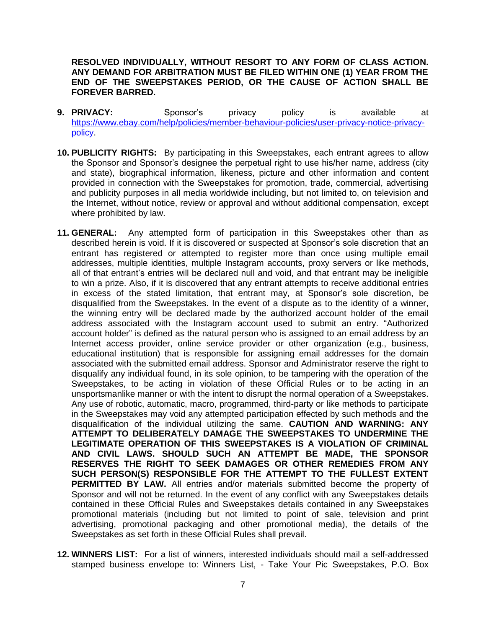**RESOLVED INDIVIDUALLY, WITHOUT RESORT TO ANY FORM OF CLASS ACTION. ANY DEMAND FOR ARBITRATION MUST BE FILED WITHIN ONE (1) YEAR FROM THE END OF THE SWEEPSTAKES PERIOD, OR THE CAUSE OF ACTION SHALL BE FOREVER BARRED.** 

- **9. PRIVACY:** Sponsor's privacy policy is available at [https://www.ebay.com/help/policies/member-behaviour-policies/user-privacy-notice-privacy](https://www.ebay.com/help/policies/member-behaviour-policies/user-privacy-notice-privacy-policy)[policy.](https://www.ebay.com/help/policies/member-behaviour-policies/user-privacy-notice-privacy-policy)
- **10. PUBLICITY RIGHTS:** By participating in this Sweepstakes, each entrant agrees to allow the Sponsor and Sponsor's designee the perpetual right to use his/her name, address (city and state), biographical information, likeness, picture and other information and content provided in connection with the Sweepstakes for promotion, trade, commercial, advertising and publicity purposes in all media worldwide including, but not limited to, on television and the Internet, without notice, review or approval and without additional compensation, except where prohibited by law.
- **11. GENERAL:** Any attempted form of participation in this Sweepstakes other than as described herein is void. If it is discovered or suspected at Sponsor's sole discretion that an entrant has registered or attempted to register more than once using multiple email addresses, multiple identities, multiple Instagram accounts, proxy servers or like methods, all of that entrant's entries will be declared null and void, and that entrant may be ineligible to win a prize. Also, if it is discovered that any entrant attempts to receive additional entries in excess of the stated limitation, that entrant may, at Sponsor's sole discretion, be disqualified from the Sweepstakes. In the event of a dispute as to the identity of a winner, the winning entry will be declared made by the authorized account holder of the email address associated with the Instagram account used to submit an entry. "Authorized account holder" is defined as the natural person who is assigned to an email address by an Internet access provider, online service provider or other organization (e.g., business, educational institution) that is responsible for assigning email addresses for the domain associated with the submitted email address. Sponsor and Administrator reserve the right to disqualify any individual found, in its sole opinion, to be tampering with the operation of the Sweepstakes, to be acting in violation of these Official Rules or to be acting in an unsportsmanlike manner or with the intent to disrupt the normal operation of a Sweepstakes. Any use of robotic, automatic, macro, programmed, third-party or like methods to participate in the Sweepstakes may void any attempted participation effected by such methods and the disqualification of the individual utilizing the same. **CAUTION AND WARNING: ANY ATTEMPT TO DELIBERATELY DAMAGE THE SWEEPSTAKES TO UNDERMINE THE LEGITIMATE OPERATION OF THIS SWEEPSTAKES IS A VIOLATION OF CRIMINAL AND CIVIL LAWS. SHOULD SUCH AN ATTEMPT BE MADE, THE SPONSOR RESERVES THE RIGHT TO SEEK DAMAGES OR OTHER REMEDIES FROM ANY SUCH PERSON(S) RESPONSIBLE FOR THE ATTEMPT TO THE FULLEST EXTENT PERMITTED BY LAW.** All entries and/or materials submitted become the property of Sponsor and will not be returned. In the event of any conflict with any Sweepstakes details contained in these Official Rules and Sweepstakes details contained in any Sweepstakes promotional materials (including but not limited to point of sale, television and print advertising, promotional packaging and other promotional media), the details of the Sweepstakes as set forth in these Official Rules shall prevail.
- **12. WINNERS LIST:** For a list of winners, interested individuals should mail a self-addressed stamped business envelope to: Winners List, - Take Your Pic Sweepstakes, P.O. Box